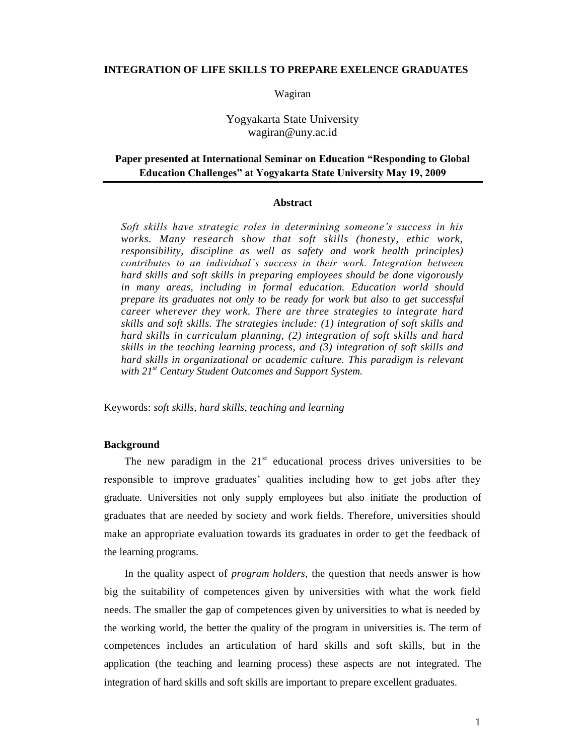# **INTEGRATION OF LIFE SKILLS TO PREPARE EXELENCE GRADUATES**

Wagiran

Yogyakarta State University wagiran@uny.ac.id

# **Paper presented at International Seminar on Education "Responding to Global Education Challenges" at Yogyakarta State University May 19, 2009**

#### **Abstract**

*Soft skills have strategic roles in determining someone's success in his works. Many research show that soft skills (honesty, ethic work, responsibility, discipline as well as safety and work health principles) contributes to an individual's success in their work. Integration between hard skills and soft skills in preparing employees should be done vigorously in many areas, including in formal education. Education world should prepare its graduates not only to be ready for work but also to get successful career wherever they work. There are three strategies to integrate hard skills and soft skills. The strategies include: (1) integration of soft skills and hard skills in curriculum planning, (2) integration of soft skills and hard skills in the teaching learning process, and (3) integration of soft skills and hard skills in organizational or academic culture. This paradigm is relevant with 21st Century Student Outcomes and Support System.*

Keywords: *soft skills, hard skills, teaching and learning*

### **Background**

The new paradigm in the  $21<sup>st</sup>$  educational process drives universities to be responsible to improve graduates' qualities including how to get jobs after they graduate. Universities not only supply employees but also initiate the production of graduates that are needed by society and work fields. Therefore, universities should make an appropriate evaluation towards its graduates in order to get the feedback of the learning programs.

In the quality aspect of *program holders,* the question that needs answer is how big the suitability of competences given by universities with what the work field needs. The smaller the gap of competences given by universities to what is needed by the working world, the better the quality of the program in universities is. The term of competences includes an articulation of hard skills and soft skills, but in the application (the teaching and learning process) these aspects are not integrated. The integration of hard skills and soft skills are important to prepare excellent graduates.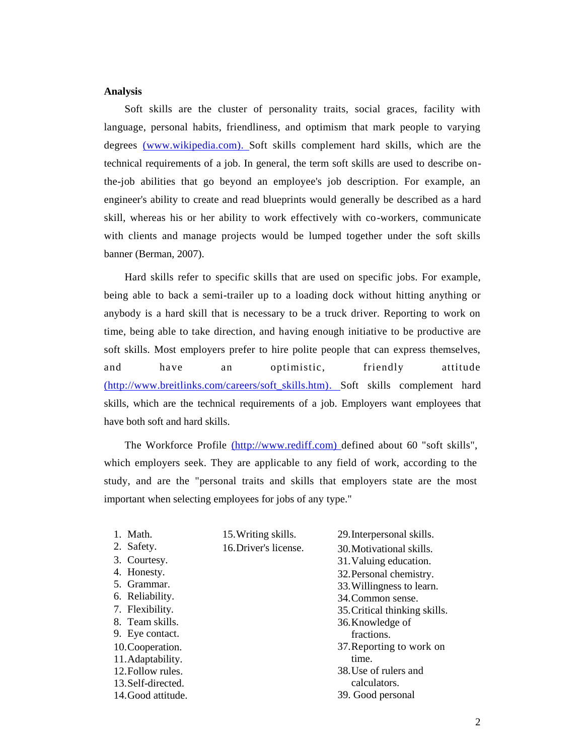# **Analysis**

Soft skills are the cluster of personality traits, social graces, facility with language, personal habits, friendliness, and optimism that mark people to varying degrees [\(www.wikipedia.com\)](http://www.wikipedia.com/). Soft skills complement hard skills, which are the technical requirements of a job. In general, the term soft skills are used to describe onthe-job abilities that go beyond an employee's job description. For example, an engineer's ability to create and read blueprints would generally be described as a hard skill, whereas his or her ability to work effectively with co-workers, communicate with clients and manage projects would be lumped together under the soft skills banner (Berman, 2007).

Hard skills refer to specific skills that are used on specific jobs. For example, being able to back a semi-trailer up to a loading dock without hitting anything or anybody is a hard skill that is necessary to be a truck driver. Reporting to work on time, being able to take direction, and having enough initiative to be productive are soft skills. Most employers prefer to hire polite people that can express themselves, and have an optimistic, friendly attitude [\(http://www.breitlinks.com/careers/soft\\_skills.htm\).](http://www.breitlinks.com/careers/soft_skills.htm)) Soft skills complement hard skills, which are the technical requirements of a job. Employers want employees that have both soft and hard skills.

The Workforce Profile [\(http://www.rediff.com\)](http://www.rediff.com/) defined about 60 "soft skills", which employers seek. They are applicable to any field of work, according to the study, and are the "personal traits and skills that employers state are the most important when selecting employees for jobs of any type."

| 1. Math.           | 15. Writing skills.   | 29. Interpersonal skills.     |
|--------------------|-----------------------|-------------------------------|
| 2. Safety.         | 16. Driver's license. | 30. Motivational skills.      |
| 3. Courtesy.       |                       | 31. Valuing education.        |
| 4. Honesty.        |                       | 32. Personal chemistry.       |
| 5. Grammar.        |                       | 33. Willingness to learn.     |
| 6. Reliability.    |                       | 34. Common sense.             |
| 7. Flexibility.    |                       | 35. Critical thinking skills. |
| 8. Team skills.    |                       | 36. Knowledge of              |
| 9. Eye contact.    |                       | fractions.                    |
| 10. Cooperation.   |                       | 37. Reporting to work on      |
| 11. Adaptability.  |                       | time.                         |
| 12. Follow rules.  |                       | 38. Use of rulers and         |
| 13. Self-directed. |                       | calculators.                  |
| 14. Good attitude. |                       | 39. Good personal             |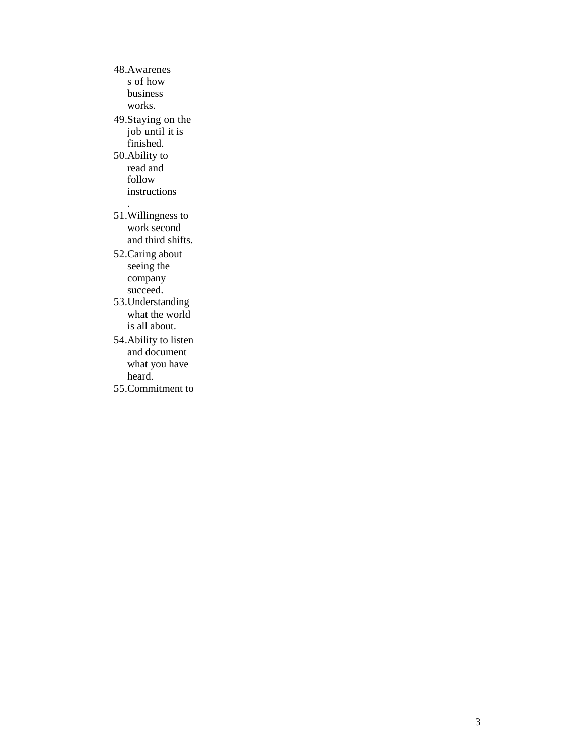48.Awarenes s of how business works. 49.Staying on the job until it is finished. 50.Ability to read and follow instructions . 51.Willingness to work second and third shifts. 52.Caring about seeing the company succeed. 53.Understanding what the world is all about. 54.Ability to listen and document what you have heard. 55.Commitment to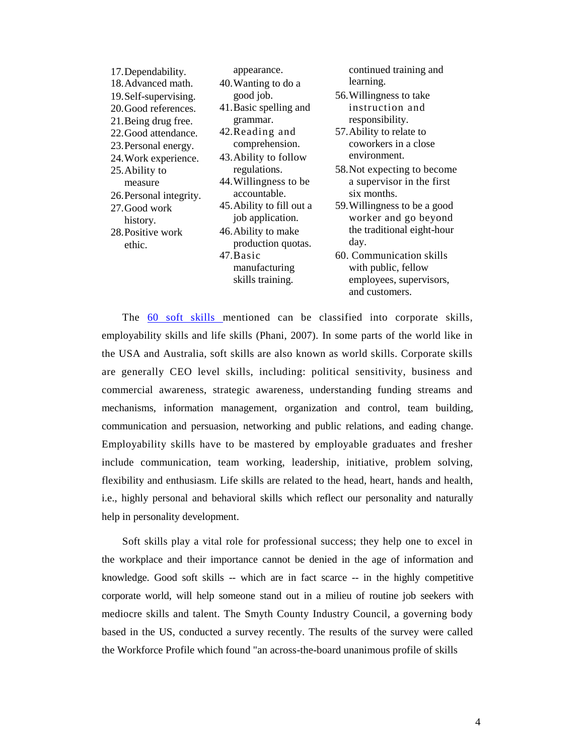| 17. Dependability.      | appearance.               | continued training and       |
|-------------------------|---------------------------|------------------------------|
| 18. Advanced math.      | 40. Wanting to do a       | learning.                    |
| 19. Self-supervising.   | good job.                 | 56. Willingness to take      |
| 20. Good references.    | 41. Basic spelling and    | instruction and              |
| 21. Being drug free.    | grammar.                  | responsibility.              |
| 22. Good attendance.    | 42. Reading and           | 57. Ability to relate to     |
| 23. Personal energy.    | comprehension.            | coworkers in a close         |
| 24. Work experience.    | 43. Ability to follow     | environment.                 |
| 25. Ability to          | regulations.              | 58. Not expecting to become  |
| measure                 | 44. Willingness to be     | a supervisor in the first    |
| 26. Personal integrity. | accountable.              | six months.                  |
| 27. Good work           | 45. Ability to fill out a | 59. Willingness to be a good |
| history.                | job application.          | worker and go beyond         |
| 28. Positive work       | 46. Ability to make       | the traditional eight-hour   |
| ethic.                  | production quotas.        | day.                         |
|                         | 47. Basic                 | 60. Communication skills     |
|                         | manufacturing             | with public, fellow          |
|                         | skills training.          | employees, supervisors,      |
|                         |                           | and customers.               |

The 60 soft skills mentioned can be classified into corporate skills, employability skills and life skills (Phani, 2007). In some parts of the world like in the USA and Australia, soft skills are also known as world skills. Corporate skills are generally CEO level skills, including: political sensitivity, business and commercial awareness, strategic awareness, understanding funding streams and mechanisms, information management, organization and control, team building, communication and persuasion, networking and public relations, and eading change. Employability skills have to be mastered by employable graduates and fresher include communication, team working, leadership, initiative, problem solving, flexibility and enthusiasm. Life skills are related to the head, heart, hands and health, i.e., highly personal and behavioral skills which reflect our personality and naturally help in personality development.

Soft skills play a vital role for professional success; they help one to excel in the workplace and their importance cannot be denied in the age of information and knowledge. Good soft skills -- which are in fact scarce -- in the highly competitive corporate world, will help someone stand out in a milieu of routine job seekers with mediocre skills and talent. The Smyth County Industry Council, a governing body based in the US, conducted a survey recently. The results of the survey were called the Workforce Profile which found "an across-the-board unanimous profile of skills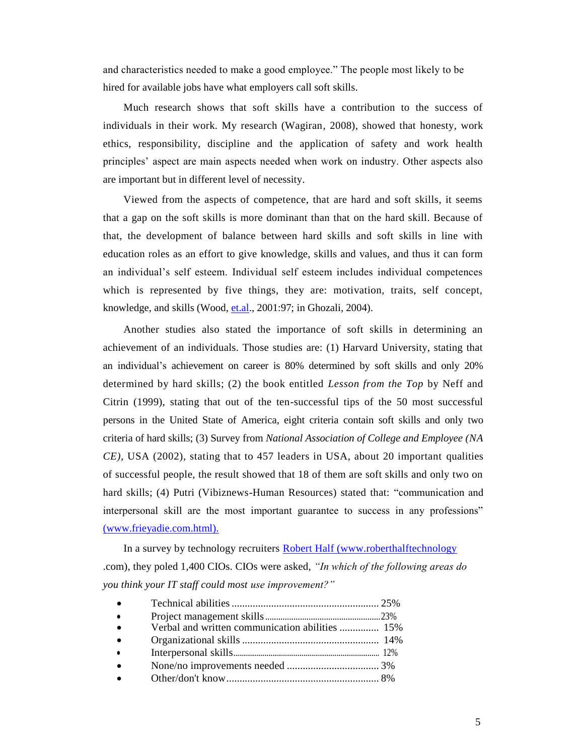and characteristics needed to make a good employee." The people most likely to be hired for available jobs have what employers call soft skills.

Much research shows that soft skills have a contribution to the success of individuals in their work. My research (Wagiran, 2008), showed that honesty, work ethics, responsibility, discipline and the application of safety and work health principles' aspect are main aspects needed when work on industry. Other aspects also are important but in different level of necessity.

Viewed from the aspects of competence, that are hard and soft skills, it seems that a gap on the soft skills is more dominant than that on the hard skill. Because of that, the development of balance between hard skills and soft skills in line with education roles as an effort to give knowledge, skills and values, and thus it can form an individual's self esteem. Individual self esteem includes individual competences which is represented by five things, they are: motivation, traits, self concept, knowledge, and skills (Wood, [et.al.](http://et.al/), 2001:97; in Ghozali, 2004).

Another studies also stated the importance of soft skills in determining an achievement of an individuals. Those studies are: (1) Harvard University, stating that an individual's achievement on career is 80% determined by soft skills and only 20% determined by hard skills; (2) the book entitled *Lesson from the Top* by Neff and Citrin (1999), stating that out of the ten-successful tips of the 50 most successful persons in the United State of America, eight criteria contain soft skills and only two criteria of hard skills; (3) Survey from *National Association of College and Employee (NA CE),* USA (2002), stating that to 457 leaders in USA, about 20 important qualities of successful people, the result showed that 18 of them are soft skills and only two on hard skills; (4) Putri (Vibiznews-Human Resources) stated that: "communication and interpersonal skill are the most important guarantee to success in any professions" [\(www.frieyadie.com.](http://www.frieyadie.com/)html).

In a survey by technology recruiters Robert Half (www.roberthalftechnology .com), they poled 1,400 CIOs. CIOs were asked, *"In which of the following areas do you think your IT staff could most use improvement?"*

|           | Verbal and written communication abilities  15% |  |
|-----------|-------------------------------------------------|--|
|           |                                                 |  |
| $\bullet$ |                                                 |  |
|           |                                                 |  |
|           |                                                 |  |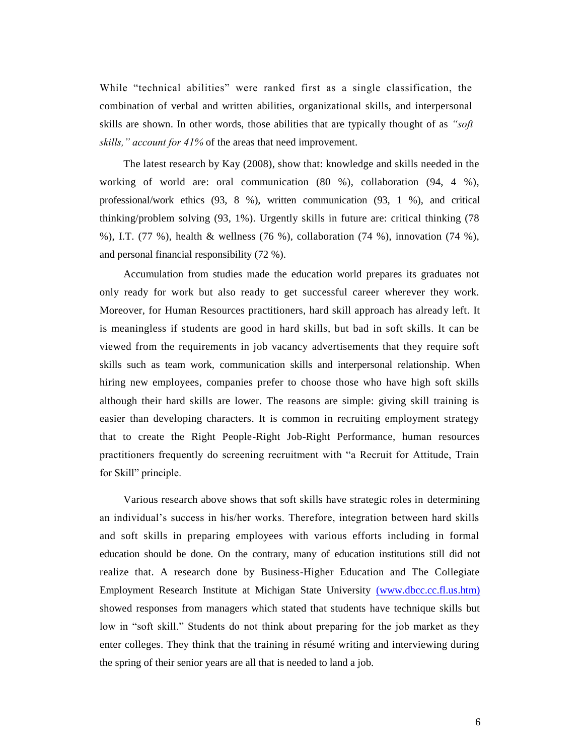While "technical abilities" were ranked first as a single classification, the combination of verbal and written abilities, organizational skills, and interpersonal skills are shown. In other words, those abilities that are typically thought of as *"soft skills," account for 41%* of the areas that need improvement.

The latest research by Kay (2008), show that: knowledge and skills needed in the working of world are: oral communication (80 %), collaboration (94, 4 %), professional/work ethics (93, 8 %), written communication (93, 1 %), and critical thinking/problem solving (93, 1%). Urgently skills in future are: critical thinking (78 %), I.T. (77 %), health & wellness (76 %), collaboration (74 %), innovation (74 %), and personal financial responsibility (72 %).

Accumulation from studies made the education world prepares its graduates not only ready for work but also ready to get successful career wherever they work. Moreover, for Human Resources practitioners, hard skill approach has already left. It is meaningless if students are good in hard skills, but bad in soft skills. It can be viewed from the requirements in job vacancy advertisements that they require soft skills such as team work, communication skills and interpersonal relationship. When hiring new employees, companies prefer to choose those who have high soft skills although their hard skills are lower. The reasons are simple: giving skill training is easier than developing characters. It is common in recruiting employment strategy that to create the Right People-Right Job-Right Performance, human resources practitioners frequently do screening recruitment with "a Recruit for Attitude, Train for Skill" principle.

Various research above shows that soft skills have strategic roles in determining an individual's success in his/her works. Therefore, integration between hard skills and soft skills in preparing employees with various efforts including in formal education should be done. On the contrary, many of education institutions still did not realize that. A research done by Business-Higher Education and The Collegiate Employment Research Institute at Michigan State University [\(www.dbcc.cc.fl.us.](http://www.dbcc.cc.fl.us/)htm) showed responses from managers which stated that students have technique skills but low in "soft skill." Students do not think about preparing for the job market as they enter colleges. They think that the training in résumé writing and interviewing during the spring of their senior years are all that is needed to land a job.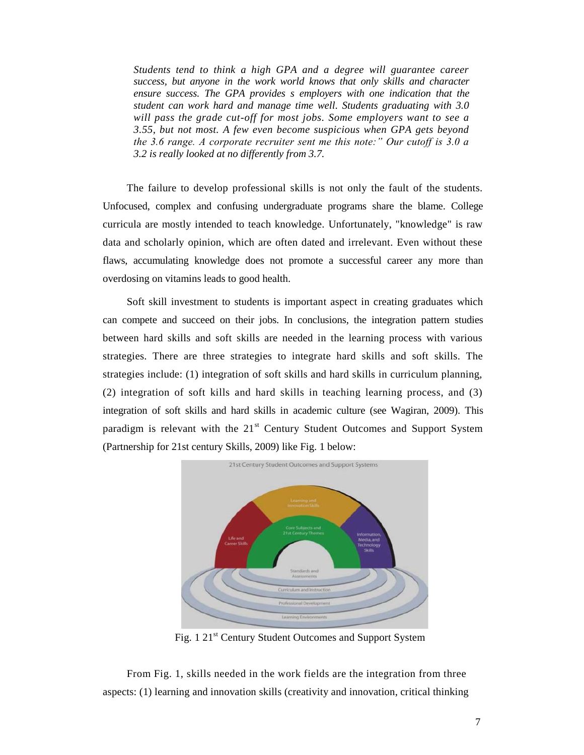*Students tend to think a high GPA and a degree will guarantee career success, but anyone in the work world knows that only skills and character ensure success. The GPA provides s employers with one indication that the student can work hard and manage time well. Students graduating with 3.0 will pass the grade cut-off for most jobs. Some employers want to see a 3.55, but not most. A few even become suspicious when GPA gets beyond the 3.6 range. A corporate recruiter sent me this note:" Our cutoff is 3.0 a 3.2 is really looked at no differently from 3.7.*

The failure to develop professional skills is not only the fault of the students. Unfocused, complex and confusing undergraduate programs share the blame. College curricula are mostly intended to teach knowledge. Unfortunately, "knowledge" is raw data and scholarly opinion, which are often dated and irrelevant. Even without these flaws, accumulating knowledge does not promote a successful career any more than overdosing on vitamins leads to good health.

Soft skill investment to students is important aspect in creating graduates which can compete and succeed on their jobs. In conclusions, the integration pattern studies between hard skills and soft skills are needed in the learning process with various strategies. There are three strategies to integrate hard skills and soft skills. The strategies include: (1) integration of soft skills and hard skills in curriculum planning, (2) integration of soft kills and hard skills in teaching learning process, and (3) integration of soft skills and hard skills in academic culture (see Wagiran, 2009). This paradigm is relevant with the  $21<sup>st</sup>$  Century Student Outcomes and Support System (Partnership for 21st century Skills, 2009) like Fig. 1 below:



Fig. 1 21<sup>st</sup> Century Student Outcomes and Support System

From Fig. 1, skills needed in the work fields are the integration from three aspects: (1) learning and innovation skills (creativity and innovation, critical thinking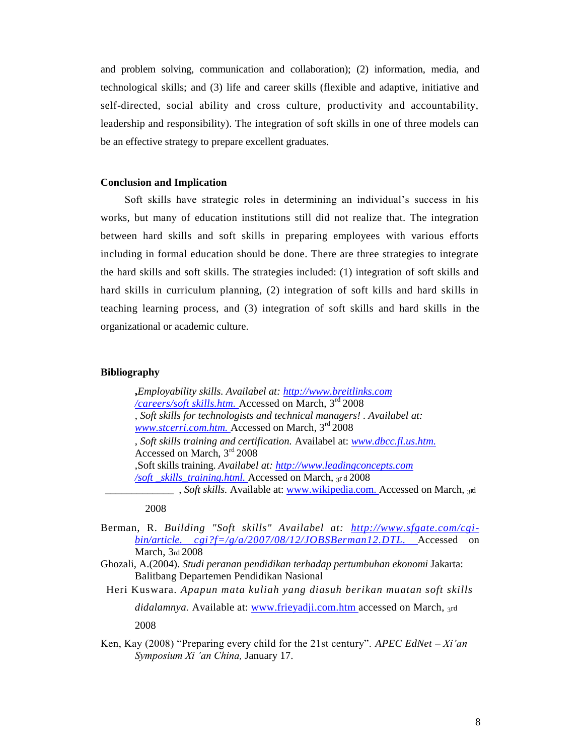and problem solving, communication and collaboration); (2) information, media, and technological skills; and (3) life and career skills (flexible and adaptive, initiative and self-directed, social ability and cross culture, productivity and accountability, leadership and responsibility). The integration of soft skills in one of three models can be an effective strategy to prepare excellent graduates.

# **Conclusion and Implication**

Soft skills have strategic roles in determining an individual's success in his works, but many of education institutions still did not realize that. The integration between hard skills and soft skills in preparing employees with various efforts including in formal education should be done. There are three strategies to integrate the hard skills and soft skills. The strategies included: (1) integration of soft skills and hard skills in curriculum planning, (2) integration of soft kills and hard skills in teaching learning process, and (3) integration of soft skills and hard skills in the organizational or academic culture.

### **Bibliography**

**,***Employability skills. Availabel at[: http://www.breitlinks.com](http://www.breitlinks.com/) /careers/soft skills.htm.* Accessed on March, 3rd 2008 , *Soft skills for technologists and technical managers! . Availabel at: www.stcerri.com.htm.* Accessed on March, 3rd 2008 , *Soft skills training and certification.* Availabel at: *[www.dbcc.fl.us.](http://www.dbcc.fl.us/)htm.* Accessed on March, 3rd 2008 ,Soft skills training. *Availabel at[: http://www.leadingconcepts.com](http://www.leadingconcepts.com/) /soft \_skills\_training.html.* Accessed on March, 3<sup>r</sup> <sup>d</sup>2008

50ft skills. Available at: [www.wikipedia.com.](http://www.wikipedia.com/) Accessed on March, 3rd

2008

- Berman, R. *Building "Soft skills" Availabel at: [http://www.sfgate.com/cgi](http://www.sfgate.com/cgi-bin/article)[bin/article.](http://www.sfgate.com/cgi-bin/article) cgi?f=/g/a/2007/08/12/JOBSBerman12.DTL.* Accessed on March, 3rd 2008
- Ghozali, A.(2004). *Studi peranan pendidikan terhadap pertumbuhan ekonomi* Jakarta: Balitbang Departemen Pendidikan Nasional
- Heri Kuswara. *Apapun mata kuliah yang diasuh berikan muatan soft skills didalamnya.* Available at: [www.frieyadji.com.](http://www.frieyadji.com/)htm accessed on March, 3rd 2008
- Ken, Kay (2008) "Preparing every child for the 21st century". *APEC EdNet – Xi'an Symposium Xi 'an China,* January 17.